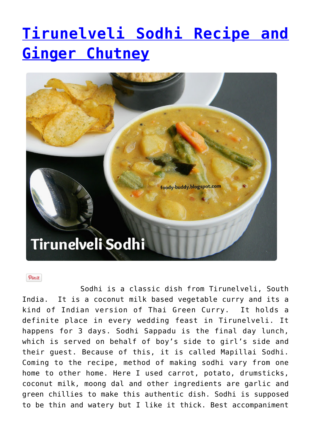# **[Tirunelveli Sodhi Recipe and](http://foodybuddy.net/2013/07/25/tirunelveli-sodhi-recipe-and-ginger-chutney.html) [Ginger Chutney](http://foodybuddy.net/2013/07/25/tirunelveli-sodhi-recipe-and-ginger-chutney.html)**



#### Pinit

Sodhi is a classic dish from Tirunelveli, South India. It is a coconut milk based vegetable curry and its a kind of Indian version of Thai Green Curry. It holds a definite place in every wedding feast in Tirunelveli. It happens for 3 days. Sodhi Sappadu is the final day lunch, which is served on behalf of boy's side to girl's side and their guest. Because of this, it is called Mapillai Sodhi. Coming to the recipe, method of making sodhi vary from one home to other home. Here I used carrot, potato, drumsticks, coconut milk, moong dal and other ingredients are garlic and green chillies to make this authentic dish. Sodhi is supposed to be thin and watery but I like it thick. Best accompaniment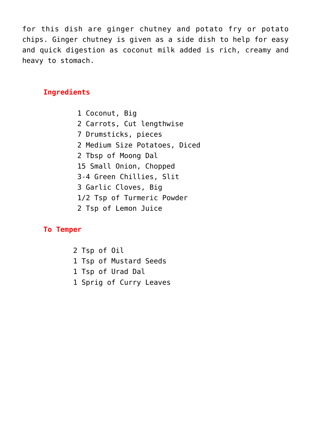for this dish are ginger chutney and potato fry or potato chips. Ginger chutney is given as a side dish to help for easy and quick digestion as coconut milk added is rich, creamy and heavy to stomach.

# **Ingredients**

1 Coconut, Big 2 Carrots, Cut lengthwise 7 Drumsticks, pieces 2 Medium Size Potatoes, Diced 2 Tbsp of Moong Dal 15 Small Onion, Chopped 3-4 Green Chillies, Slit 3 Garlic Cloves, Big 1/2 Tsp of Turmeric Powder 2 Tsp of Lemon Juice

### **To Temper**

2 Tsp of Oil 1 Tsp of Mustard Seeds 1 Tsp of Urad Dal 1 Sprig of Curry Leaves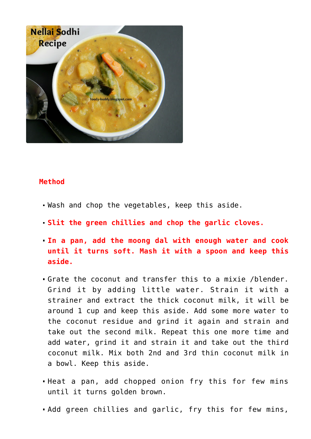

#### **Method**

- Wash and chop the vegetables, keep this aside.
- **Slit the green chillies and chop the garlic cloves.**
- **In a pan, add the moong dal with enough water and cook until it turns soft. Mash it with a spoon and keep this aside.**
- Grate the coconut and transfer this to a mixie /blender. Grind it by adding little water. Strain it with a strainer and extract the thick coconut milk, it will be around 1 cup and keep this aside. Add some more water to the coconut residue and grind it again and strain and take out the second milk. Repeat this one more time and add water, grind it and strain it and take out the third coconut milk. Mix both 2nd and 3rd thin coconut milk in a bowl. Keep this aside.
- Heat a pan, add chopped onion fry this for few mins until it turns golden brown.
- Add green chillies and garlic, fry this for few mins,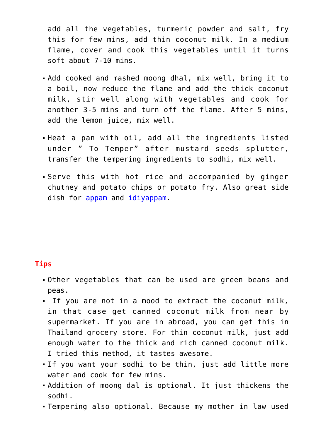add all the vegetables, turmeric powder and salt, fry this for few mins, add thin coconut milk. In a medium flame, cover and cook this vegetables until it turns soft about 7-10 mins.

- Add cooked and mashed moong dhal, mix well, bring it to a boil, now reduce the flame and add the thick coconut milk, stir well along with vegetables and cook for another 3-5 mins and turn off the flame. After 5 mins, add the lemon juice, mix well.
- Heat a pan with oil, add all the ingredients listed under " To Temper" after mustard seeds splutter, transfer the tempering ingredients to sodhi, mix well.
- Serve this with hot rice and accompanied by ginger chutney and potato chips or potato fry. Also great side dish for [appam](http://foody-buddy.blogspot.com/2012/09/appam-aapam-recipe.html) and [idiyappam.](http://foody-buddy.blogspot.com/2013/02/idiyappam-sevai-string-hoppers.html)

### **Tips**

- Other vegetables that can be used are green beans and peas.
- If you are not in a mood to extract the coconut milk, in that case get canned coconut milk from near by supermarket. If you are in abroad, you can get this in Thailand grocery store. For thin coconut milk, just add enough water to the thick and rich canned coconut milk. I tried this method, it tastes awesome.
- If you want your sodhi to be thin, just add little more water and cook for few mins.
- Addition of moong dal is optional. It just thickens the sodhi.
- Tempering also optional. Because my mother in law used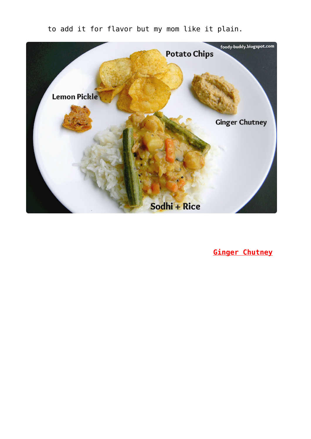

to add it for flavor but my mom like it plain.

 **Ginger Chutney**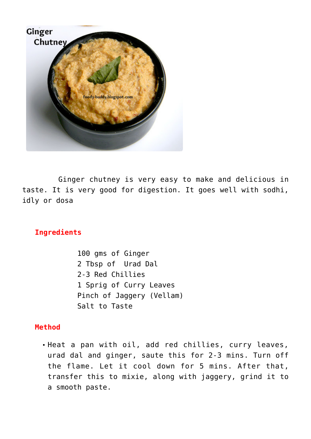

 Ginger chutney is very easy to make and delicious in taste. It is very good for digestion. It goes well with sodhi, idly or dosa

# **Ingredients**

100 gms of Ginger 2 Tbsp of Urad Dal 2-3 Red Chillies 1 Sprig of Curry Leaves Pinch of Jaggery (Vellam) Salt to Taste

#### **Method**

Heat a pan with oil, add red chillies, curry leaves, urad dal and ginger, saute this for 2-3 mins. Turn off the flame. Let it cool down for 5 mins. After that, transfer this to mixie, along with jaggery, grind it to a smooth paste.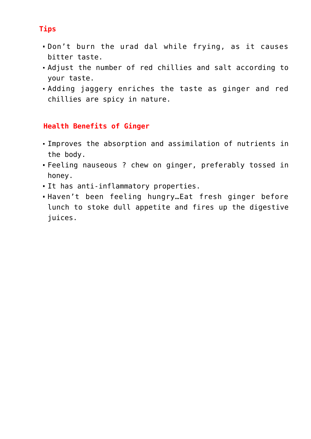# **Tips**

- Don't burn the urad dal while frying, as it causes bitter taste.
- Adjust the number of red chillies and salt according to your taste.
- Adding jaggery enriches the taste as ginger and red chillies are spicy in nature.

# **Health Benefits of Ginger**

- Improves the absorption and assimilation of nutrients in the body.
- Feeling nauseous ? chew on ginger, preferably tossed in honey.
- It has anti-inflammatory properties.
- Haven't been feeling hungry…Eat fresh ginger before lunch to stoke dull appetite and fires up the digestive juices.